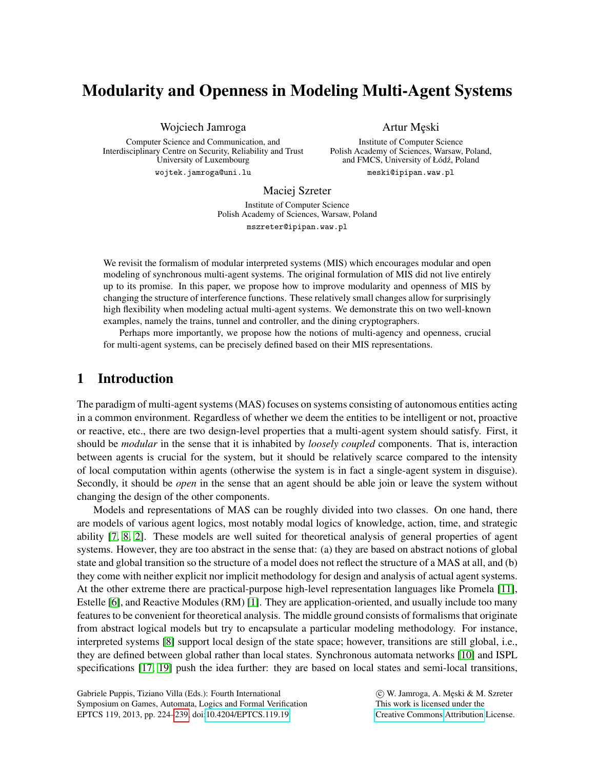# Modularity and Openness in Modeling Multi-Agent Systems

Wojciech Jamroga

Computer Science and Communication, and Interdisciplinary Centre on Security, Reliability and Trust University of Luxembourg

wojtek.jamroga@uni.lu

Artur Męski

Institute of Computer Science Polish Academy of Sciences, Warsaw, Poland, and FMCS, University of Łódź, Poland

meski@ipipan.waw.pl

#### Maciej Szreter

Institute of Computer Science Polish Academy of Sciences, Warsaw, Poland mszreter@ipipan.waw.pl

We revisit the formalism of modular interpreted systems (MIS) which encourages modular and open modeling of synchronous multi-agent systems. The original formulation of MIS did not live entirely up to its promise. In this paper, we propose how to improve modularity and openness of MIS by changing the structure of interference functions. These relatively small changes allow for surprisingly high flexibility when modeling actual multi-agent systems. We demonstrate this on two well-known examples, namely the trains, tunnel and controller, and the dining cryptographers.

Perhaps more importantly, we propose how the notions of multi-agency and openness, crucial for multi-agent systems, can be precisely defined based on their MIS representations.

# 1 Introduction

The paradigm of multi-agent systems (MAS) focuses on systems consisting of autonomous entities acting in a common environment. Regardless of whether we deem the entities to be intelligent or not, proactive or reactive, etc., there are two design-level properties that a multi-agent system should satisfy. First, it should be *modular* in the sense that it is inhabited by *loosely coupled* components. That is, interaction between agents is crucial for the system, but it should be relatively scarce compared to the intensity of local computation within agents (otherwise the system is in fact a single-agent system in disguise). Secondly, it should be *open* in the sense that an agent should be able join or leave the system without changing the design of the other components.

Models and representations of MAS can be roughly divided into two classes. On one hand, there are models of various agent logics, most notably modal logics of knowledge, action, time, and strategic ability [\[7,](#page-15-1) [8,](#page-15-2) [2\]](#page-15-3). These models are well suited for theoretical analysis of general properties of agent systems. However, they are too abstract in the sense that: (a) they are based on abstract notions of global state and global transition so the structure of a model does not reflect the structure of a MAS at all, and (b) they come with neither explicit nor implicit methodology for design and analysis of actual agent systems. At the other extreme there are practical-purpose high-level representation languages like Promela [\[11\]](#page-15-4), Estelle [\[6\]](#page-15-5), and Reactive Modules (RM) [\[1\]](#page-14-0). They are application-oriented, and usually include too many features to be convenient for theoretical analysis. The middle ground consists of formalisms that originate from abstract logical models but try to encapsulate a particular modeling methodology. For instance, interpreted systems [\[8\]](#page-15-2) support local design of the state space; however, transitions are still global, i.e., they are defined between global rather than local states. Synchronous automata networks [\[10\]](#page-15-6) and ISPL specifications [\[17,](#page-15-7) [19\]](#page-15-8) push the idea further: they are based on local states and semi-local transitions,

Gabriele Puppis, Tiziano Villa (Eds.): Fourth International Symposium on Games, Automata, Logics and Formal Verification EPTCS 119, 2013, pp. 224[–239,](#page-15-0) doi[:10.4204/EPTCS.119.19](http://dx.doi.org/10.4204/EPTCS.119.19)

 c W. Jamroga, A. Me¸ski & M. Szreter This work is licensed under the [Creative Commons](http://creativecommons.org) [Attribution](http://creativecommons.org/licenses/by/3.0/) License.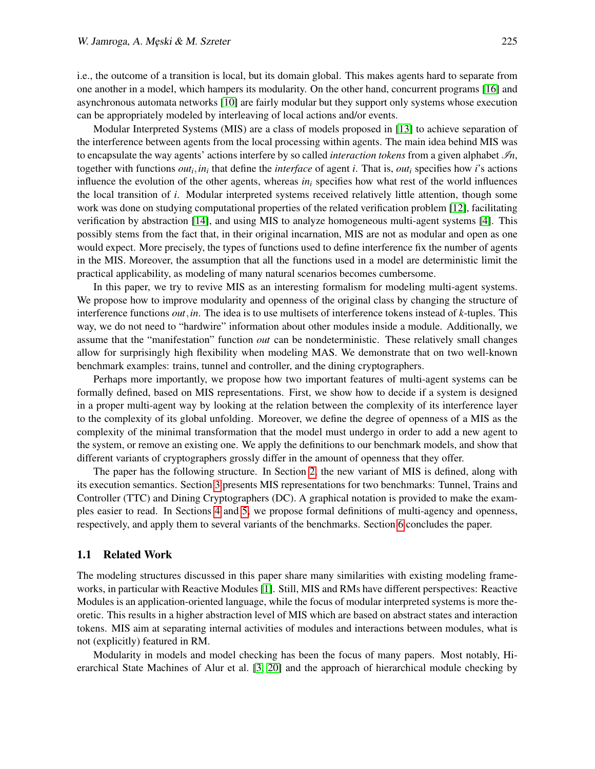i.e., the outcome of a transition is local, but its domain global. This makes agents hard to separate from one another in a model, which hampers its modularity. On the other hand, concurrent programs [\[16\]](#page-15-9) and asynchronous automata networks [\[10\]](#page-15-6) are fairly modular but they support only systems whose execution can be appropriately modeled by interleaving of local actions and/or events.

Modular Interpreted Systems (MIS) are a class of models proposed in [\[13\]](#page-15-10) to achieve separation of the interference between agents from the local processing within agents. The main idea behind MIS was to encapsulate the way agents' actions interfere by so called *interaction tokens* from a given alphabet  $\mathcal{I}_n$ , together with functions  $out_i$ ,  $in_i$  that define the *interface* of agent *i*. That is,  $out_i$  specifies how *i*'s actions influence the evolution of the other agents, whereas *in<sup>i</sup>* specifies how what rest of the world influences the local transition of *i*. Modular interpreted systems received relatively little attention, though some work was done on studying computational properties of the related verification problem [\[12\]](#page-15-11), facilitating verification by abstraction [\[14\]](#page-15-12), and using MIS to analyze homogeneous multi-agent systems [\[4\]](#page-15-13). This possibly stems from the fact that, in their original incarnation, MIS are not as modular and open as one would expect. More precisely, the types of functions used to define interference fix the number of agents in the MIS. Moreover, the assumption that all the functions used in a model are deterministic limit the practical applicability, as modeling of many natural scenarios becomes cumbersome.

In this paper, we try to revive MIS as an interesting formalism for modeling multi-agent systems. We propose how to improve modularity and openness of the original class by changing the structure of interference functions *out*,*in*. The idea is to use multisets of interference tokens instead of *k*-tuples. This way, we do not need to "hardwire" information about other modules inside a module. Additionally, we assume that the "manifestation" function *out* can be nondeterministic. These relatively small changes allow for surprisingly high flexibility when modeling MAS. We demonstrate that on two well-known benchmark examples: trains, tunnel and controller, and the dining cryptographers.

Perhaps more importantly, we propose how two important features of multi-agent systems can be formally defined, based on MIS representations. First, we show how to decide if a system is designed in a proper multi-agent way by looking at the relation between the complexity of its interference layer to the complexity of its global unfolding. Moreover, we define the degree of openness of a MIS as the complexity of the minimal transformation that the model must undergo in order to add a new agent to the system, or remove an existing one. We apply the definitions to our benchmark models, and show that different variants of cryptographers grossly differ in the amount of openness that they offer.

The paper has the following structure. In Section [2,](#page-2-0) the new variant of MIS is defined, along with its execution semantics. Section [3](#page-4-0) presents MIS representations for two benchmarks: Tunnel, Trains and Controller (TTC) and Dining Cryptographers (DC). A graphical notation is provided to make the examples easier to read. In Sections [4](#page-8-0) and [5,](#page-9-0) we propose formal definitions of multi-agency and openness, respectively, and apply them to several variants of the benchmarks. Section [6](#page-14-1) concludes the paper.

### 1.1 Related Work

The modeling structures discussed in this paper share many similarities with existing modeling frameworks, in particular with Reactive Modules [\[1\]](#page-14-0). Still, MIS and RMs have different perspectives: Reactive Modules is an application-oriented language, while the focus of modular interpreted systems is more theoretic. This results in a higher abstraction level of MIS which are based on abstract states and interaction tokens. MIS aim at separating internal activities of modules and interactions between modules, what is not (explicitly) featured in RM.

Modularity in models and model checking has been the focus of many papers. Most notably, Hierarchical State Machines of Alur et al. [\[3,](#page-15-14) [20\]](#page-15-15) and the approach of hierarchical module checking by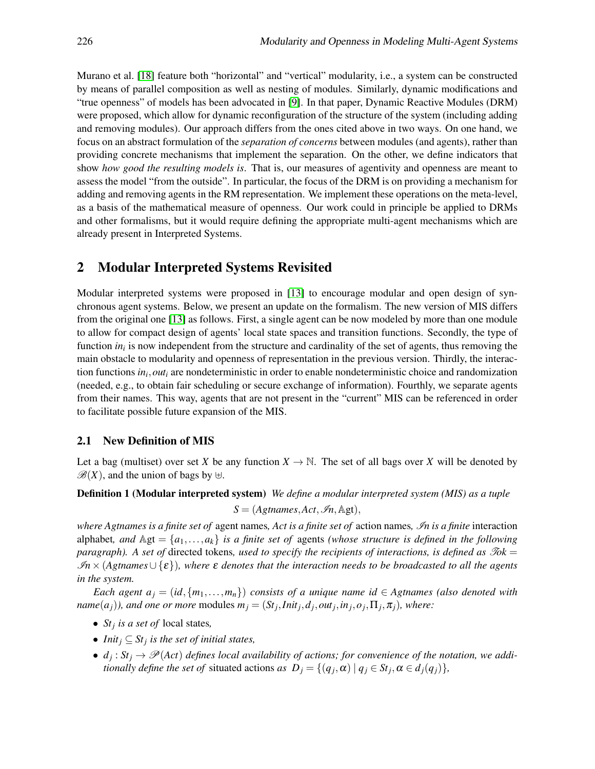Murano et al. [\[18\]](#page-15-16) feature both "horizontal" and "vertical" modularity, i.e., a system can be constructed by means of parallel composition as well as nesting of modules. Similarly, dynamic modifications and "true openness" of models has been advocated in [\[9\]](#page-15-17). In that paper, Dynamic Reactive Modules (DRM) were proposed, which allow for dynamic reconfiguration of the structure of the system (including adding and removing modules). Our approach differs from the ones cited above in two ways. On one hand, we focus on an abstract formulation of the *separation of concerns* between modules (and agents), rather than providing concrete mechanisms that implement the separation. On the other, we define indicators that show *how good the resulting models is*. That is, our measures of agentivity and openness are meant to assess the model "from the outside". In particular, the focus of the DRM is on providing a mechanism for adding and removing agents in the RM representation. We implement these operations on the meta-level, as a basis of the mathematical measure of openness. Our work could in principle be applied to DRMs and other formalisms, but it would require defining the appropriate multi-agent mechanisms which are already present in Interpreted Systems.

### <span id="page-2-0"></span>2 Modular Interpreted Systems Revisited

Modular interpreted systems were proposed in [\[13\]](#page-15-10) to encourage modular and open design of synchronous agent systems. Below, we present an update on the formalism. The new version of MIS differs from the original one [\[13\]](#page-15-10) as follows. First, a single agent can be now modeled by more than one module to allow for compact design of agents' local state spaces and transition functions. Secondly, the type of function *in<sub>i</sub>* is now independent from the structure and cardinality of the set of agents, thus removing the main obstacle to modularity and openness of representation in the previous version. Thirdly, the interaction functions *in<sup>i</sup>* ,*out<sup>i</sup>* are nondeterministic in order to enable nondeterministic choice and randomization (needed, e.g., to obtain fair scheduling or secure exchange of information). Fourthly, we separate agents from their names. This way, agents that are not present in the "current" MIS can be referenced in order to facilitate possible future expansion of the MIS.

### 2.1 New Definition of MIS

Let a bag (multiset) over set *X* be any function  $X \to \mathbb{N}$ . The set of all bags over *X* will be denoted by  $\mathscr{B}(X)$ , and the union of bags by  $\biguplus$ .

#### Definition 1 (Modular interpreted system) *We define a modular interpreted system (MIS) as a tuple*

<span id="page-2-1"></span>
$$
S = (Agtnames, Act, \mathcal{I}n, \mathbb{Agt}),
$$

*where Agtnames is a finite set of* agent names*, Act is a finite set of* action names*,* I*n is a finite* interaction alphabet, and  $\mathbb{A}gt = \{a_1, \ldots, a_k\}$  *is a finite set of* agents *(whose structure is defined in the following paragraph*). A set of directed tokens, used to specify the recipients of interactions, is defined as Tok = I*n*×(*Agtnames*∪ {ε})*, where* ε *denotes that the interaction needs to be broadcasted to all the agents in the system.*

*Each agent*  $a_j = (id, \{m_1, \ldots, m_n\})$  *consists of a unique name id*  $\in$  *Agtnames (also denoted with* name $(a_j)$ ), and one or more modules  $m_j = (St_j,Init_j, d_j, out_j, in_j, o_j, \Pi_j, \pi_j)$ , where:

- *St<sup>j</sup> is a set of* local states*,*
- *Init<sup>j</sup>* ⊆ *St<sup>j</sup> is the set of initial states,*
- $d_j: St_j \to \mathscr{P}(Act)$  *defines local availability of actions; for convenience of the notation, we additionally define the set of situated actions <i>as*  $D_j = \{(q_j, \alpha) | q_j \in St_j, \alpha \in d_j(q_j)\},\}$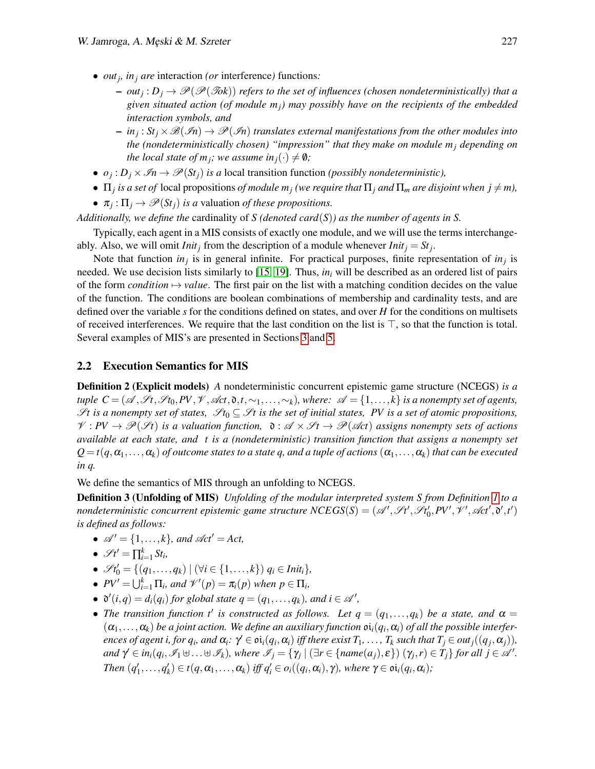- *out<sup>j</sup> , in<sup>j</sup> are* interaction *(or* interference*)* functions*:*
	- $-$  *out<sub>j</sub>* :  $D_j \to \mathscr{P}(\mathscr{P}(\mathscr{T}ok))$  *refers to the set of influences (chosen nondeterministically) that a given situated action (of module mj) may possibly have on the recipients of the embedded interaction symbols, and*
	- $-$  in<sub>j</sub>:  $St_j \times \mathscr{B}(\mathscr{I}n) \to \mathscr{P}(\mathscr{I}n)$  translates external manifestations from the other modules into *the (nondeterministically chosen) "impression" that they make on module*  $m_i$  *depending on the local state of m<sub><i>i*</sub></sub>; we assume in<sub>*i*</sub>( $\cdot$ )  $\neq$  0*;*
- $o_j: D_j \times \mathcal{I} \rightarrow \mathcal{P}(St_j)$  *is a* local transition function *(possibly nondeterministic)*,

•  $\Pi_j$  *is a set of* local propositions *of module*  $m_j$  (we require that  $\Pi_j$  and  $\Pi_m$  are disjoint when  $j \neq m$ ),

•  $\pi_j: \Pi_j \to \mathscr{P}(St_j)$  *is a* valuation *of these propositions.* 

*Additionally, we define the* cardinality of *S (denoted card*(*S*)*) as the number of agents in S.*

Typically, each agent in a MIS consists of exactly one module, and we will use the terms interchangeably. Also, we will omit *Init<sub>j</sub>* from the description of a module whenever *Init<sub>j</sub>* =  $St_j$ .

Note that function  $in_j$  is in general infinite. For practical purposes, finite representation of  $in_j$  is needed. We use decision lists similarly to [\[15,](#page-15-18) [19\]](#page-15-8). Thus, *in<sup>i</sup>* will be described as an ordered list of pairs of the form *condition*  $\rightarrow$  *value*. The first pair on the list with a matching condition decides on the value of the function. The conditions are boolean combinations of membership and cardinality tests, and are defined over the variable *s* for the conditions defined on states, and over *H* for the conditions on multisets of received interferences. We require that the last condition on the list is  $\top$ , so that the function is total. Several examples of MIS's are presented in Sections [3](#page-4-0) and [5.](#page-9-0)

#### 2.2 Execution Semantics for MIS

Definition 2 (Explicit models) *A* nondeterministic concurrent epistemic game structure (NCEGS) *is a tuple C* = ( $\mathscr{A}, \mathscr{S}t, \mathscr{S}t_0, PV, \mathscr{V}, \mathscr{A}ct, \mathfrak{d}, t, \sim_1, \ldots, \sim_k$ ), where:  $\mathscr{A} = \{1, \ldots, k\}$  *is a nonempty set of agents,* St is a nonempty set of states,  $\mathscr{S}t_0 \subseteq \mathscr{S}t$  is the set of initial states, PV is a set of atomic propositions,  $V: PV \to \mathcal{P}(\mathcal{H})$  is a valuation function,  $\mathfrak{d}: \mathcal{A} \times \mathcal{H} \to \mathcal{P}(\mathcal{A}ct)$  assigns nonempty sets of actions *available at each state, and t is a (nondeterministic) transition function that assigns a nonempty set*  $Q = t(q, \alpha_1, \ldots, \alpha_k)$  *of outcome states to a state q, and a tuple of actions*  $(\alpha_1, \ldots, \alpha_k)$  *that can be executed in q.*

We define the semantics of MIS through an unfolding to NCEGS.

Definition 3 (Unfolding of MIS) *Unfolding of the modular interpreted system S from Definition [1](#page-2-1) to a nondeterministic concurrent epistemic game structure*  $NCEGS(S) = (A', St', St'_0, PV', \mathcal{V}', \mathcal{A}ct', \mathfrak{d}', t')$ *is defined as follows:*

- <span id="page-3-0"></span>•  $\mathscr{A}' = \{1, \ldots, k\}$ *, and*  $\mathscr{A}ct' = Act$ ,
- $\mathscr{S}t' = \prod_{i=1}^k St_i,$
- $\mathscr{S}t'_{0} = \{(q_{1},...,q_{k}) | (\forall i \in \{1,...,k\}) q_{i} \in Int_{i}\},\$
- $PV' = \bigcup_{i=1}^k \Pi_i$ , and  $\mathcal{V}'(p) = \pi_i(p)$  when  $p \in \Pi_i$ ,
- $\mathfrak{d}'(i,q) = d_i(q_i)$  for global state  $q = (q_1, \ldots, q_k)$ , and  $i \in \mathcal{A}'$ ,
- The transition function t' is constructed as follows. Let  $q = (q_1, \ldots, q_k)$  be a state, and  $\alpha =$  $(\alpha_1,\ldots,\alpha_k)$  be a joint action. We define an auxiliary function  $\mathfrak{oi}_i(q_i,\alpha_i)$  of all the possible interferences of agent i, for  $q_i$ , and  $\alpha_i$ :  $\gamma' \in \mathfrak{oi}_i(q_i, \alpha_i)$  iff there exist  $T_1, \ldots, T_k$  such that  $T_j \in out_j((q_j, \alpha_j)),$ and  $\gamma' \in in_i(q_i, \mathcal{I}_1 \cup ... \cup \mathcal{I}_k)$ , where  $\mathcal{I}_j = \{ \gamma_j \mid (\exists r \in \{name(a_j), \varepsilon\}) (\gamma_j, r) \in T_j \}$  for all  $j \in \mathcal{A}'$ . Then  $(q'_1,...,q'_k) \in t(q,\alpha_1,...,\alpha_k)$  iff  $q'_i \in o_i((q_i,\alpha_i),\gamma)$ , where  $\gamma \in \mathfrak{oi}_i(q_i,\alpha_i)$ ;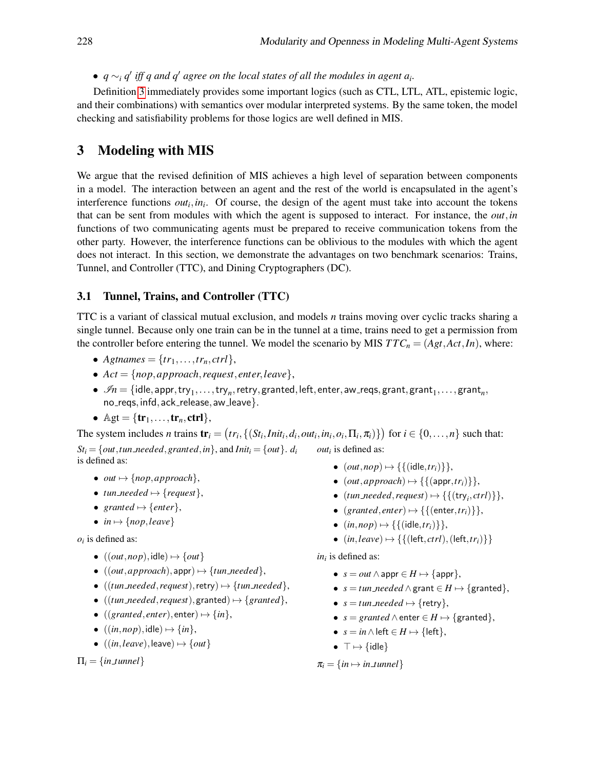●  $q \sim_i q'$  *iff q and q' agree on the local states of all the modules in agent a<sub><i>i*</sub>.

Definition [3](#page-3-0) immediately provides some important logics (such as CTL, LTL, ATL, epistemic logic, and their combinations) with semantics over modular interpreted systems. By the same token, the model checking and satisfiability problems for those logics are well defined in MIS.

# <span id="page-4-0"></span>3 Modeling with MIS

We argue that the revised definition of MIS achieves a high level of separation between components in a model. The interaction between an agent and the rest of the world is encapsulated in the agent's interference functions  $out_i$ ,  $in_i$ . Of course, the design of the agent must take into account the tokens that can be sent from modules with which the agent is supposed to interact. For instance, the *out*,*in* functions of two communicating agents must be prepared to receive communication tokens from the other party. However, the interference functions can be oblivious to the modules with which the agent does not interact. In this section, we demonstrate the advantages on two benchmark scenarios: Trains, Tunnel, and Controller (TTC), and Dining Cryptographers (DC).

### <span id="page-4-1"></span>3.1 Tunnel, Trains, and Controller (TTC)

TTC is a variant of classical mutual exclusion, and models *n* trains moving over cyclic tracks sharing a single tunnel. Because only one train can be in the tunnel at a time, trains need to get a permission from the controller before entering the tunnel. We model the scenario by MIS  $TTC_n = (Agt, Act, In)$ , where:

- *Agtnames* =  $\{tr_1, \ldots, tr_n, \text{ctrl}\},\$
- $Act = \{nop, approach, request, enter, leave\},\$
- $\bullet$   $\mathscr{I}n = \{\mathsf{idle}, \mathsf{appr}, \mathsf{try}_1, \ldots, \mathsf{try}_n, \mathsf{retry}, \mathsf{granted}, \mathsf{left}, \mathsf{enter}, \mathsf{aw\_reqs}, \mathsf{grant}, \mathsf{grant}_1, \ldots, \mathsf{grant}_n, \}$ no reqs, infd, ack release, aw leave }.
- $\mathbb{A}\mathbb{g}\mathbb{t} = \{\mathbf{tr}_1,\ldots,\mathbf{tr}_n,\mathbf{ctrl}\},\$

The system includes *n* trains  $\mathbf{tr}_i = (tr_i, \{(St_i,Init_i, d_i, out_i, in_i, o_i, \Pi_i, \pi_i)\})$  for  $i \in \{0, ..., n\}$  such that:  $St_i = \{out, tun\_needed, granted, in\}$ , and  $Init_i = \{out\}$ .  $d_i$ is defined as: *out<sup>i</sup>* is defined as:

- *out*  $\mapsto$  {*nop*, *approach*},
- $tun\_needed \mapsto \{request\},\$
- $granted \mapsto \{enter\},\$
- $in \rightarrow \{nop, leave\}$

 $o_i$  is defined as:

- $\bullet$  ((*out*,*nop*), idle)  $\mapsto$  {*out*}
- $((out, approach),app) \mapsto {tun\_needed},$
- $((\text{tun\_needed}, \text{request}), \text{retry}) \mapsto {\text{tun\_needed}}$ ,
- $((\text{tun\_needed}, \text{request}), \text{granted}) \mapsto { \{ \text{granted} \}},$
- $((granted, enter), enter) \mapsto {in},$
- $((in, nop), idle) \mapsto {in},$
- $\bullet$  ((*in*,*leave*), leave)  $\mapsto$  {*out*}

 $\Pi_i = \{in\_tunnel\}$ 

- $(out,nop) \mapsto \{ \{ (idle, tr_i) \} \},$
- $(out, approach) \mapsto \{ \{ (appr, tr_i) \} \},$
- $(tun\_needed, request) \mapsto \{ \{ (try_i,ctrl) \} \},$
- $(granted, enter) \mapsto \{ \{ (enter, tr_i) \} \},$
- $(in, nop) \mapsto \{ \{ (idle, tr_i) \} \},\$
- $(in,leave) \mapsto \{\{(\text{left}, \text{ctrl}),(\text{left}, \text{tr}_i)\}\}\$

*ini* is defined as:

- $s = out \wedge$  appr  $\in H \mapsto$  {appr},
- $s = \text{tun\_needed} \land \text{grant} \in H \mapsto \{\text{granted}\},\$
- $s = tun\_needed \mapsto \{retry\},\$
- $s = granted \land enter \in H \mapsto \{granted\},$
- $s = in \wedge$  left  $\in$  *H*  $\mapsto$  {left},
- $\top \mapsto \{\text{idle}\}\$

 $\pi_i = \{in \mapsto in\_tunnel\}$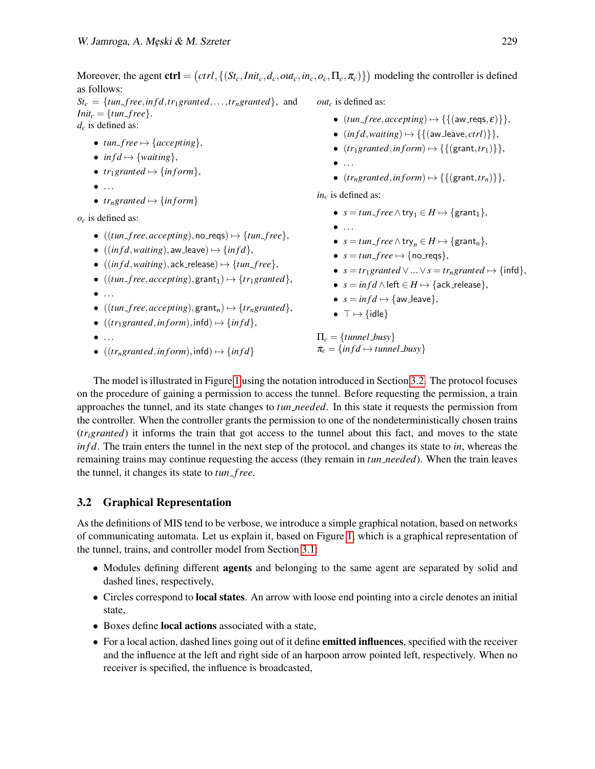Moreover, the agent  $\text{ctrl} = (ctrl, \{(St_c,Init_c, d_c, out_c, in_c, o_c, \Pi_c, \pi_c)\})$  modeling the controller is defined as follows:

 $St_c = \{tun_free, inf d, tr_1granted, ..., tr_ngranted\}$ , and *Init<sub>c</sub>* = {*tun\_free*}. *d<sup>c</sup>* is defined as:

- $tun\_free \mapsto \{accepting\},\$
- $inf d \mapsto \{waiting\},\$
- $tr_1$ *granted*  $\mapsto$  {*inform*},
- $\bullet$  ...
- *tr<sub>n</sub>granted*  $\mapsto$  {*inform*}

*o<sup>c</sup>* is defined as:

- $((\text{tun-free}, \text{accepting}), \text{no\_reqs}) \mapsto {\text{tun\_free}},$
- $((\text{inf } d, \text{waiting}), \text{aw} = \text{leave}) \mapsto \{\text{inf } d\},$
- $((\text{inf } d, \text{waiting}), \text{ack\_release}) \mapsto {\text{fun\_free}},$
- $((\text{tun-free}, \text{accepting}), \text{grant}_1) \mapsto {\text{tr}_1 \text{granted}}$ ,
- $\bullet$  ...
- $((\text{tun\_free}, \text{accepting}), \text{grant}_n) \mapsto {\text{tr}_n \text{granted}}$ ,
- $((tr<sub>1</sub> granted, *in form*), *infd*) \mapsto {*infd*},$
- $\bullet$  ...
- $((tr<sub>n</sub> granted, inform), infd) \mapsto {infd}$

*out<sup>c</sup>* is defined as:

- $(tun\_free, accepting) \mapsto {\{(aw\_reqs, \varepsilon)\}},$
- $(infd, waiting) \mapsto \{ \{ (aw\_leave,ctrl) \} \},$
- $(tr_1 granted, inform) \mapsto \{ \{ (grant, tr_1) \} \},$
- $\bullet$  ...
- $(tr_n granted, inform) \rightarrow \{\{(grant, tr_n)\}\},$

*in<sup>c</sup>* is defined as:

- $s = \text{tun\_free} \wedge \text{try}_1 \in H \mapsto \{\text{grant}_1\},\$
- $\bullet$  ...
- $s = \text{tun\_free} \wedge \text{try}_n \in H \mapsto \{\text{grant}_n\},\$
- $s = \text{tun\_free} \mapsto \{\text{no\_reqs}\},\$
- $s = tr_1$ *granted*  $\vee ... \vee s = tr_n$ *granted*  $\mapsto$  {infd},
- $s = \inf d \wedge$  left  $\in H \mapsto$  {ack\_release},
- $s = inf d \mapsto \{aw\_leave\},\$
- $\top \mapsto \{\text{idle}\}\$

 $\Pi_c = \{tunnel_busy\}$  $\pi_c = \{ \text{infd} \mapsto \text{tunnel} \text{.} \text{busy} \}$ 

The model is illustrated in Figure [1](#page-6-0) using the notation introduced in Section [3.2.](#page-5-0) The protocol focuses on the procedure of gaining a permission to access the tunnel. Before requesting the permission, a train approaches the tunnel, and its state changes to *tun needed*. In this state it requests the permission from the controller. When the controller grants the permission to one of the nondeterministically chosen trains (*trigranted*) it informs the train that got access to the tunnel about this fact, and moves to the state *in f d*. The train enters the tunnel in the next step of the protocol, and changes its state to *in*, whereas the remaining trains may continue requesting the access (they remain in *tun needed*). When the train leaves the tunnel, it changes its state to *tun f ree*.

### <span id="page-5-0"></span>3.2 Graphical Representation

As the definitions of MIS tend to be verbose, we introduce a simple graphical notation, based on networks of communicating automata. Let us explain it, based on Figure [1,](#page-6-0) which is a graphical representation of the tunnel, trains, and controller model from Section [3.1:](#page-4-1)

- Modules defining different **agents** and belonging to the same agent are separated by solid and dashed lines, respectively,
- Circles correspond to **local states**. An arrow with loose end pointing into a circle denotes an initial state,
- Boxes define local actions associated with a state,
- For a local action, dashed lines going out of it define **emitted influences**, specified with the receiver and the influence at the left and right side of an harpoon arrow pointed left, respectively. When no receiver is specified, the influence is broadcasted,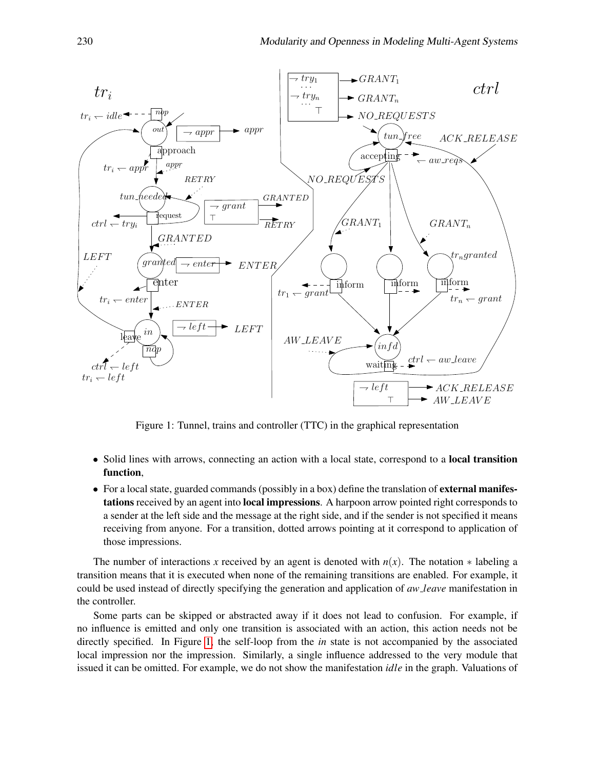

<span id="page-6-0"></span>Figure 1: Tunnel, trains and controller (TTC) in the graphical representation

- Solid lines with arrows, connecting an action with a local state, correspond to a **local transition** function,
- For a local state, guarded commands (possibly in a box) define the translation of **external manifes**tations received by an agent into local impressions. A harpoon arrow pointed right corresponds to a sender at the left side and the message at the right side, and if the sender is not specified it means receiving from anyone. For a transition, dotted arrows pointing at it correspond to application of those impressions.

The number of interactions *x* received by an agent is denoted with  $n(x)$ . The notation  $*$  labeling a transition means that it is executed when none of the remaining transitions are enabled. For example, it could be used instead of directly specifying the generation and application of *aw leave* manifestation in the controller.

Some parts can be skipped or abstracted away if it does not lead to confusion. For example, if no influence is emitted and only one transition is associated with an action, this action needs not be directly specified. In Figure [1,](#page-6-0) the self-loop from the *in* state is not accompanied by the associated local impression nor the impression. Similarly, a single influence addressed to the very module that issued it can be omitted. For example, we do not show the manifestation *idle* in the graph. Valuations of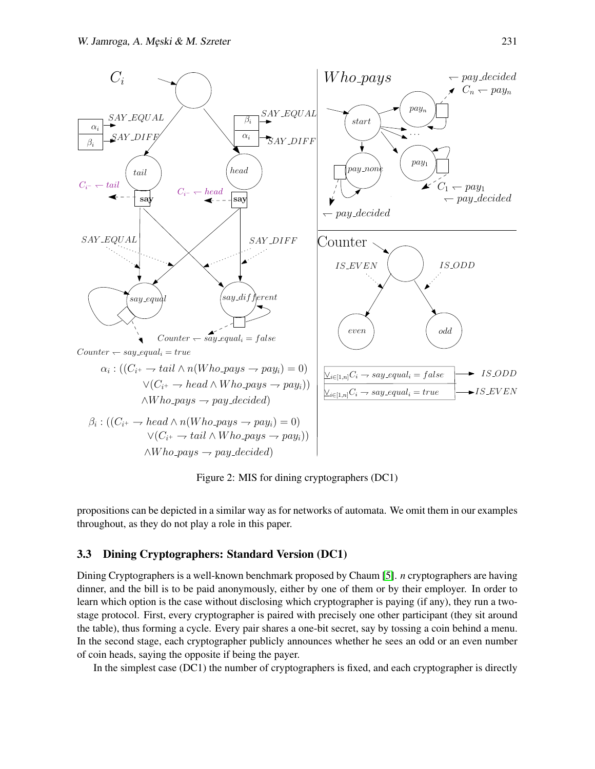

<span id="page-7-0"></span>Figure 2: MIS for dining cryptographers (DC1)

propositions can be depicted in a similar way as for networks of automata. We omit them in our examples throughout, as they do not play a role in this paper.

### <span id="page-7-1"></span>3.3 Dining Cryptographers: Standard Version (DC1)

Dining Cryptographers is a well-known benchmark proposed by Chaum [\[5\]](#page-15-19). *n* cryptographers are having dinner, and the bill is to be paid anonymously, either by one of them or by their employer. In order to learn which option is the case without disclosing which cryptographer is paying (if any), they run a twostage protocol. First, every cryptographer is paired with precisely one other participant (they sit around the table), thus forming a cycle. Every pair shares a one-bit secret, say by tossing a coin behind a menu. In the second stage, each cryptographer publicly announces whether he sees an odd or an even number of coin heads, saying the opposite if being the payer.

In the simplest case (DC1) the number of cryptographers is fixed, and each cryptographer is directly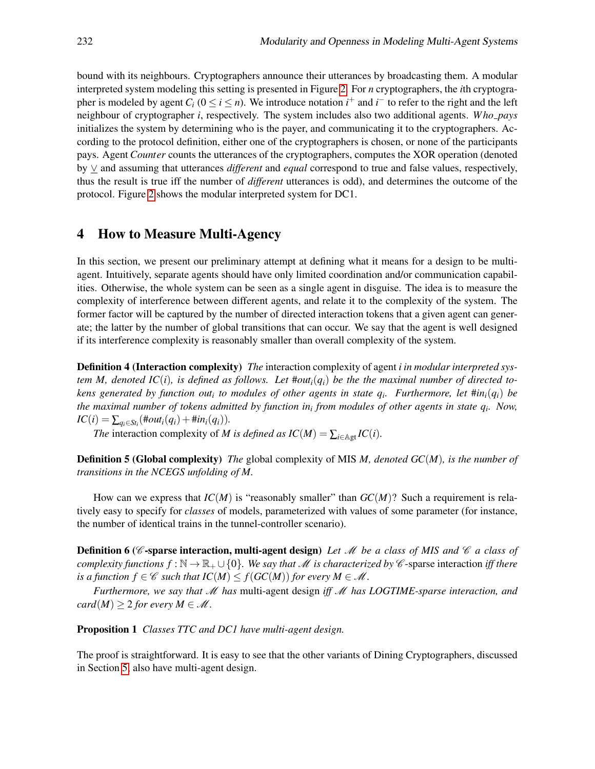bound with its neighbours. Cryptographers announce their utterances by broadcasting them. A modular interpreted system modeling this setting is presented in Figure [2.](#page-7-0) For *n* cryptographers, the *i*th cryptographer is modeled by agent  $C_i$  ( $0 \le i \le n$ ). We introduce notation  $i^+$  and  $i^-$  to refer to the right and the left neighbour of cryptographer *i*, respectively. The system includes also two additional agents. *W ho pays* initializes the system by determining who is the payer, and communicating it to the cryptographers. According to the protocol definition, either one of the cryptographers is chosen, or none of the participants pays. Agent *Counter* counts the utterances of the cryptographers, computes the XOR operation (denoted by ∨ and assuming that utterances *different* and *equal* correspond to true and false values, respectively, thus the result is true iff the number of *different* utterances is odd), and determines the outcome of the protocol. Figure [2](#page-7-0) shows the modular interpreted system for DC1.

## <span id="page-8-0"></span>4 How to Measure Multi-Agency

In this section, we present our preliminary attempt at defining what it means for a design to be multiagent. Intuitively, separate agents should have only limited coordination and/or communication capabilities. Otherwise, the whole system can be seen as a single agent in disguise. The idea is to measure the complexity of interference between different agents, and relate it to the complexity of the system. The former factor will be captured by the number of directed interaction tokens that a given agent can generate; the latter by the number of global transitions that can occur. We say that the agent is well designed if its interference complexity is reasonably smaller than overall complexity of the system.

Definition 4 (Interaction complexity) *The* interaction complexity of agent *i in modular interpreted system M, denoted IC(i), is defined as follows. Let*  $\#out_i(q_i)$  *be the the maximal number of directed tokens generated by function out<sup>i</sup> to modules of other agents in state q<sup>i</sup> . Furthermore, let* #*ini*(*qi*) *be the maximal number of tokens admitted by function in<sup>i</sup> from modules of other agents in state q<sup>i</sup> . Now,*  $IC(i) = \sum_{q_i \in St_i} (\text{#out}_i(q_i) + \text{#in}_i(q_i)).$ 

*The* interaction complexity of *M* is defined as  $IC(M) = \sum_{i \in \mathbb{A} \cup \mathcal{I}} IC(i)$ .

Definition 5 (Global complexity) *The* global complexity of MIS *M, denoted GC*(*M*)*, is the number of transitions in the NCEGS unfolding of M.*

How can we express that  $IC(M)$  is "reasonably smaller" than  $GC(M)$ ? Such a requirement is relatively easy to specify for *classes* of models, parameterized with values of some parameter (for instance, the number of identical trains in the tunnel-controller scenario).

**Definition 6 (C-sparse interaction, multi-agent design)** Let M be a class of MIS and C a class of *complexity functions*  $f : \mathbb{N} \to \mathbb{R}_+ \cup \{0\}$ *. We say that* M *is characterized by* C-sparse interaction *iff there is a function*  $f \in \mathcal{C}$  *such that*  $IC(M) \leq f(GC(M))$  *for every*  $M \in \mathcal{M}$ .

*Furthermore, we say that* M *has* multi-agent design *iff* M *has LOGTIME-sparse interaction, and card*(*M*)  $\geq$  2 *for every M*  $\in$  *M*.

Proposition 1 *Classes TTC and DC1 have multi-agent design.*

The proof is straightforward. It is easy to see that the other variants of Dining Cryptographers, discussed in Section [5,](#page-9-0) also have multi-agent design.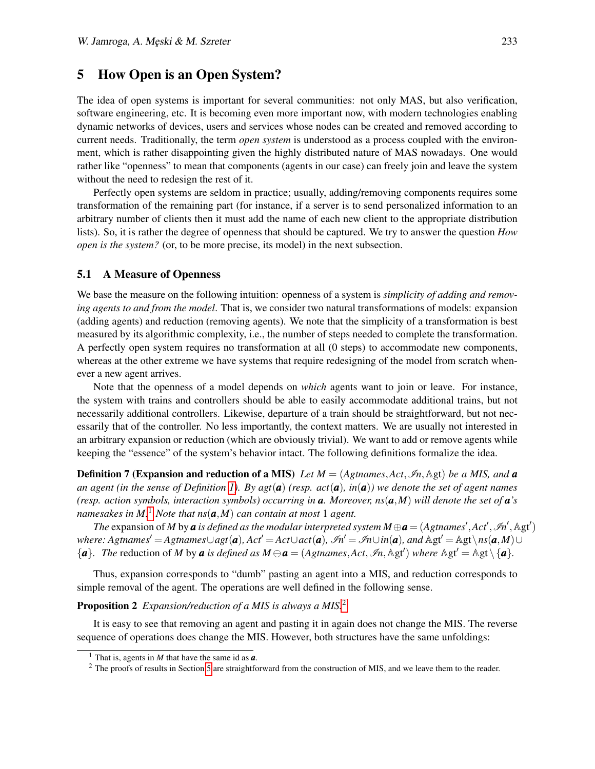# <span id="page-9-0"></span>5 How Open is an Open System?

The idea of open systems is important for several communities: not only MAS, but also verification, software engineering, etc. It is becoming even more important now, with modern technologies enabling dynamic networks of devices, users and services whose nodes can be created and removed according to current needs. Traditionally, the term *open system* is understood as a process coupled with the environment, which is rather disappointing given the highly distributed nature of MAS nowadays. One would rather like "openness" to mean that components (agents in our case) can freely join and leave the system without the need to redesign the rest of it.

Perfectly open systems are seldom in practice; usually, adding/removing components requires some transformation of the remaining part (for instance, if a server is to send personalized information to an arbitrary number of clients then it must add the name of each new client to the appropriate distribution lists). So, it is rather the degree of openness that should be captured. We try to answer the question *How open is the system?* (or, to be more precise, its model) in the next subsection.

#### 5.1 A Measure of Openness

We base the measure on the following intuition: openness of a system is *simplicity of adding and removing agents to and from the model*. That is, we consider two natural transformations of models: expansion (adding agents) and reduction (removing agents). We note that the simplicity of a transformation is best measured by its algorithmic complexity, i.e., the number of steps needed to complete the transformation. A perfectly open system requires no transformation at all (0 steps) to accommodate new components, whereas at the other extreme we have systems that require redesigning of the model from scratch whenever a new agent arrives.

Note that the openness of a model depends on *which* agents want to join or leave. For instance, the system with trains and controllers should be able to easily accommodate additional trains, but not necessarily additional controllers. Likewise, departure of a train should be straightforward, but not necessarily that of the controller. No less importantly, the context matters. We are usually not interested in an arbitrary expansion or reduction (which are obviously trivial). We want to add or remove agents while keeping the "essence" of the system's behavior intact. The following definitions formalize the idea.

**Definition 7 (Expansion and reduction of a MIS)** Let  $M = (Agtnames, Act, \mathcal{I}_n, \mathbb{A}gt)$  be a MIS, and **a** *an agent (in the sense of Definition [1\)](#page-2-1). By agt*(*a*) *(resp. act*(*a*)*, in*(*a*)*) we denote the set of agent names (resp. action symbols, interaction symbols) occurring in a. Moreover, ns*(*a*,*M*) *will denote the set of a's namesakes in M.*[1](#page-9-1) *Note that ns*(*a*,*M*) *can contain at most* 1 *agent.*

*The* expansion of *M* by *a* is defined as the modular interpreted system  $M \oplus a = (Agtnames', Act', \mathcal{I}n', \mathbb{A}gt')$  $where: Agtnames' = Agtnames \cup agt(a), Act' = Act \cup act(a), \mathcal{I}n' = \mathcal{I}n \cup in(a), and \mathbb{A}gt' = \mathbb{A}gt \setminus ns(a,M) \cup$  ${a}$ *. The* reduction of *M* by *a* is defined as  $M \ominus a = (Agtnames, Act, \Im n, \mathbb{Agt})$  where  $\mathbb{Agt}' = \mathbb{Agt} \setminus \{a\}.$ 

Thus, expansion corresponds to "dumb" pasting an agent into a MIS, and reduction corresponds to simple removal of the agent. The operations are well defined in the following sense.

### Proposition 2 *Expansion/reduction of a MIS is always a MIS.*[2](#page-9-2)

It is easy to see that removing an agent and pasting it in again does not change the MIS. The reverse sequence of operations does change the MIS. However, both structures have the same unfoldings:

<span id="page-9-1"></span><sup>1</sup> That is, agents in *M* that have the same id as *a*.

<span id="page-9-2"></span> $2$  The proofs of results in Section [5](#page-9-0) are straightforward from the construction of MIS, and we leave them to the reader.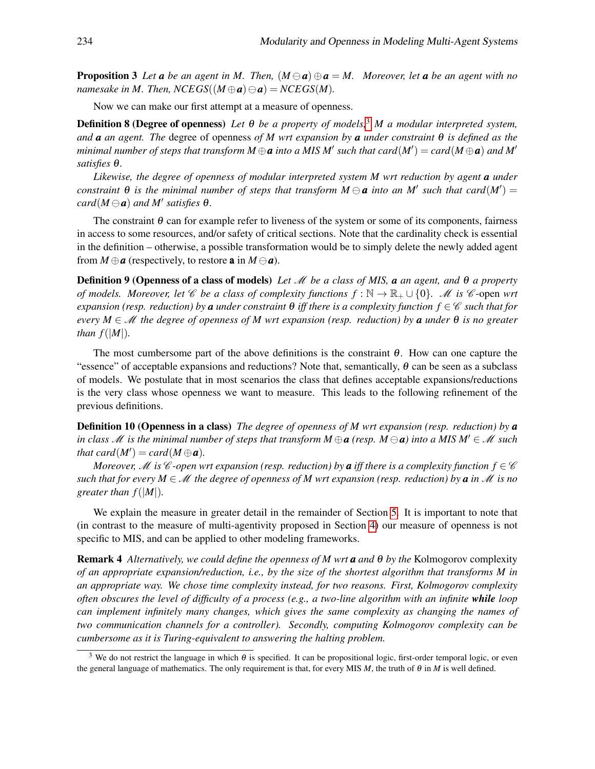**Proposition 3** Let **a** be an agent in M. Then,  $(M \ominus a) \oplus a = M$ . Moreover, let **a** be an agent with no *namesake in M. Then, NCEGS*( $(M \oplus a) \ominus a$ ) = *NCEGS*(*M*).

Now we can make our first attempt at a measure of openness.

Definition 8 (Degree of openness) *Let* θ *be a property of models,*[3](#page-10-0) *M a modular interpreted system, and a an agent. The* degree of openness *of M wrt expansion by a under constraint* θ *is defined as the*  $m$ inimal number of steps that transform  $M \oplus a$  into a MIS  $M'$  such that  $card(M') = card(M \oplus a)$  and  $M'$ *satisfies* θ*.*

*Likewise, the degree of openness of modular interpreted system M wrt reduction by agent a under constraint*  $\theta$  *is the minimal number of steps that transform*  $M \ominus a$  *into an M' such that card*( $M'$ ) =  $card(M \ominus a)$  *and*  $M'$  *satisfies*  $\theta$ *.* 

The constraint  $\theta$  can for example refer to liveness of the system or some of its components, fairness in access to some resources, and/or safety of critical sections. Note that the cardinality check is essential in the definition – otherwise, a possible transformation would be to simply delete the newly added agent from  $M \oplus a$  (respectively, to restore **a** in  $M \ominus a$ ).

Definition 9 (Openness of a class of models) *Let* M *be a class of MIS, a an agent, and* θ *a property of models. Moreover, let* C *be a class of complexity functions*  $f : \mathbb{N} \to \mathbb{R}_+ \cup \{0\}$ *. M is* C-open *wrt expansion (resp. reduction) by a under constraint*  $\theta$  *<i>iff there is a complexity function*  $f \in \mathscr{C}$  *such that for every M* ∈ M *the degree of openness of M wrt expansion (resp. reduction) by a under* θ *is no greater than*  $f(|M|)$ .

The most cumbersome part of the above definitions is the constraint  $\theta$ . How can one capture the "essence" of acceptable expansions and reductions? Note that, semantically,  $\theta$  can be seen as a subclass of models. We postulate that in most scenarios the class that defines acceptable expansions/reductions is the very class whose openness we want to measure. This leads to the following refinement of the previous definitions.

Definition 10 (Openness in a class) *The degree of openness of M wrt expansion (resp. reduction) by a in class*  $M$  *is the minimal number of steps that transform*  $M \oplus \mathbf{a}$  (*resp.*  $M \ominus \mathbf{a}$ ) *into a MIS*  $M' \in M$  *such that card* $(M') = card(M \oplus a)$ *.* 

*Moreover,* M is  $\mathscr C$ -open wrt expansion (resp. reduction) by **a** iff there is a complexity function  $f \in \mathscr C$ *such that for every M*  $\in \mathcal{M}$  *the degree of openness of M wrt expansion (resp. reduction) by a in*  $\mathcal{M}$  *<i>is no greater than*  $f(|M|)$ .

We explain the measure in greater detail in the remainder of Section [5.](#page-9-0) It is important to note that (in contrast to the measure of multi-agentivity proposed in Section [4\)](#page-8-0) our measure of openness is not specific to MIS, and can be applied to other modeling frameworks.

Remark 4 *Alternatively, we could define the openness of M wrt a and* θ *by the* Kolmogorov complexity *of an appropriate expansion/reduction, i.e., by the size of the shortest algorithm that transforms M in an appropriate way. We chose time complexity instead, for two reasons. First, Kolmogorov complexity often obscures the level of difficulty of a process (e.g., a two-line algorithm with an infinite while loop can implement infinitely many changes, which gives the same complexity as changing the names of two communication channels for a controller). Secondly, computing Kolmogorov complexity can be cumbersome as it is Turing-equivalent to answering the halting problem.*

<span id="page-10-0"></span><sup>&</sup>lt;sup>3</sup> We do not restrict the language in which  $\theta$  is specified. It can be propositional logic, first-order temporal logic, or even the general language of mathematics. The only requirement is that, for every MIS *M*, the truth of θ in *M* is well defined.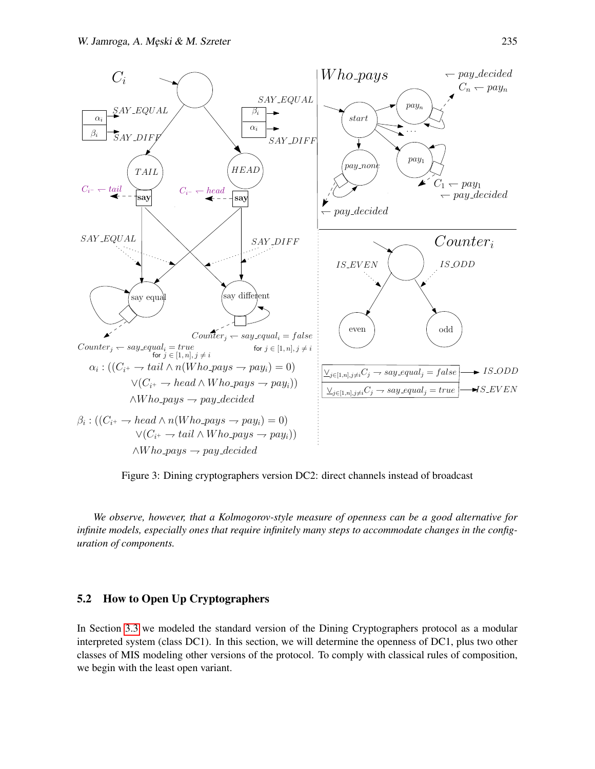

<span id="page-11-0"></span>Figure 3: Dining cryptographers version DC2: direct channels instead of broadcast

*We observe, however, that a Kolmogorov-style measure of openness can be a good alternative for infinite models, especially ones that require infinitely many steps to accommodate changes in the configuration of components.*

### 5.2 How to Open Up Cryptographers

In Section [3.3](#page-7-1) we modeled the standard version of the Dining Cryptographers protocol as a modular interpreted system (class DC1). In this section, we will determine the openness of DC1, plus two other classes of MIS modeling other versions of the protocol. To comply with classical rules of composition, we begin with the least open variant.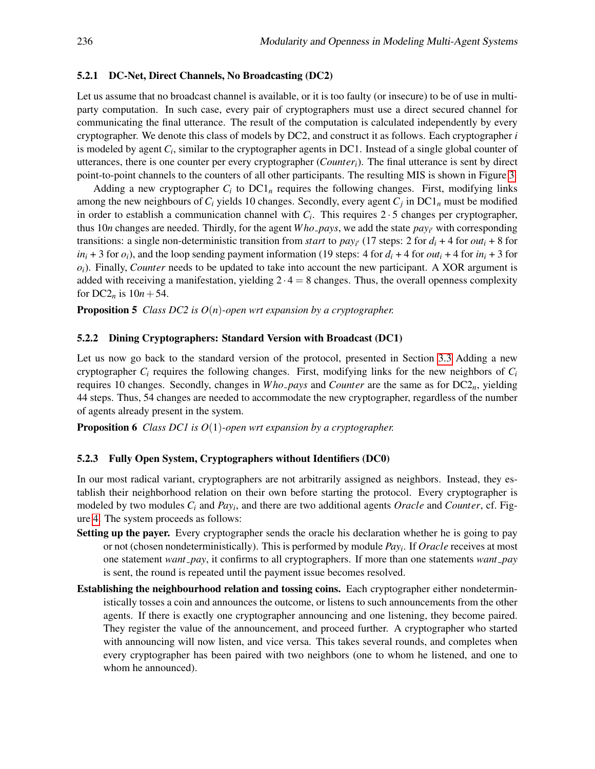#### 5.2.1 DC-Net, Direct Channels, No Broadcasting (DC2)

Let us assume that no broadcast channel is available, or it is too faulty (or insecure) to be of use in multiparty computation. In such case, every pair of cryptographers must use a direct secured channel for communicating the final utterance. The result of the computation is calculated independently by every cryptographer. We denote this class of models by DC2, and construct it as follows. Each cryptographer *i* is modeled by agent *C<sup>i</sup>* , similar to the cryptographer agents in DC1. Instead of a single global counter of utterances, there is one counter per every cryptographer (*Counteri*). The final utterance is sent by direct point-to-point channels to the counters of all other participants. The resulting MIS is shown in Figure [3.](#page-11-0)

Adding a new cryptographer  $C_i$  to  $DCl_n$  requires the following changes. First, modifying links among the new neighbours of *C<sup>i</sup>* yields 10 changes. Secondly, every agent *C<sup>j</sup>* in DC1*<sup>n</sup>* must be modified in order to establish a communication channel with  $C_i$ . This requires  $2 \cdot 5$  changes per cryptographer, thus 10*n* changes are needed. Thirdly, for the agent *Who\_pays*, we add the state  $pay_{i'}$  with corresponding transitions: a single non-deterministic transition from *start* to  $pay<sub>i'</sub>$  (17 steps: 2 for  $d<sub>i</sub> + 4$  for  $out<sub>i</sub> + 8$  for *in*<sub>i</sub> + 3 for  $o_i$ ), and the loop sending payment information (19 steps: 4 for  $d_i$  + 4 for  $out_i$  + 4 for  $in_i$  + 3 for *oi*). Finally, *Counter* needs to be updated to take into account the new participant. A XOR argument is added with receiving a manifestation, yielding  $2 \cdot 4 = 8$  changes. Thus, the overall openness complexity for  $DC2_n$  is  $10n + 54$ .

Proposition 5 *Class DC2 is O*(*n*)*-open wrt expansion by a cryptographer.*

#### 5.2.2 Dining Cryptographers: Standard Version with Broadcast (DC1)

Let us now go back to the standard version of the protocol, presented in Section [3.3](#page-7-1) Adding a new cryptographer  $C_i$  requires the following changes. First, modifying links for the new neighbors of  $C_i$ requires 10 changes. Secondly, changes in *W ho pays* and *Counter* are the same as for DC2*n*, yielding 44 steps. Thus, 54 changes are needed to accommodate the new cryptographer, regardless of the number of agents already present in the system.

Proposition 6 *Class DC1 is O*(1)*-open wrt expansion by a cryptographer.*

### 5.2.3 Fully Open System, Cryptographers without Identifiers (DC0)

In our most radical variant, cryptographers are not arbitrarily assigned as neighbors. Instead, they establish their neighborhood relation on their own before starting the protocol. Every cryptographer is modeled by two modules *C<sup>i</sup>* and *Pay<sup>i</sup>* , and there are two additional agents *Oracle* and *Counter*, cf. Figure [4.](#page-13-0) The system proceeds as follows:

- Setting up the payer. Every cryptographer sends the oracle his declaration whether he is going to pay or not (chosen nondeterministically). This is performed by module *Pay<sup>i</sup>* . If *Oracle* receives at most one statement *want pay*, it confirms to all cryptographers. If more than one statements *want pay* is sent, the round is repeated until the payment issue becomes resolved.
- Establishing the neighbourhood relation and tossing coins. Each cryptographer either nondeterministically tosses a coin and announces the outcome, or listens to such announcements from the other agents. If there is exactly one cryptographer announcing and one listening, they become paired. They register the value of the announcement, and proceed further. A cryptographer who started with announcing will now listen, and vice versa. This takes several rounds, and completes when every cryptographer has been paired with two neighbors (one to whom he listened, and one to whom he announced).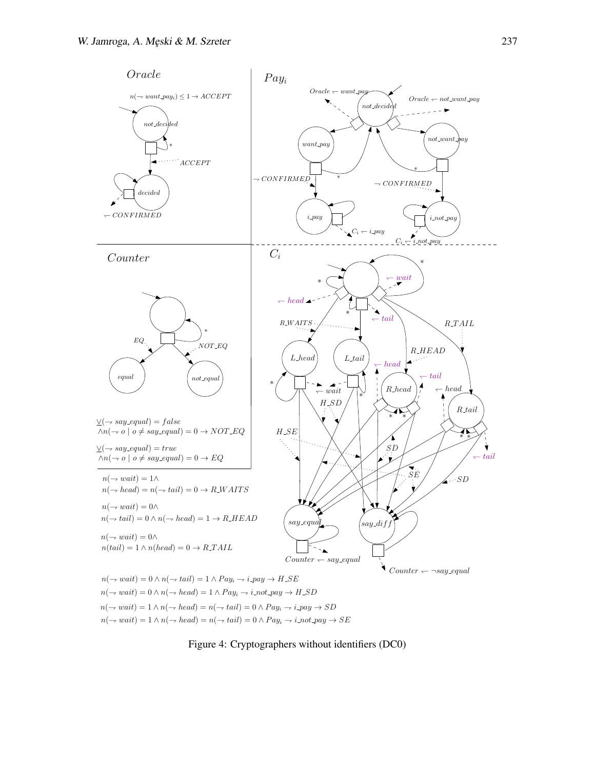

<span id="page-13-0"></span>Figure 4: Cryptographers without identifiers (DC0)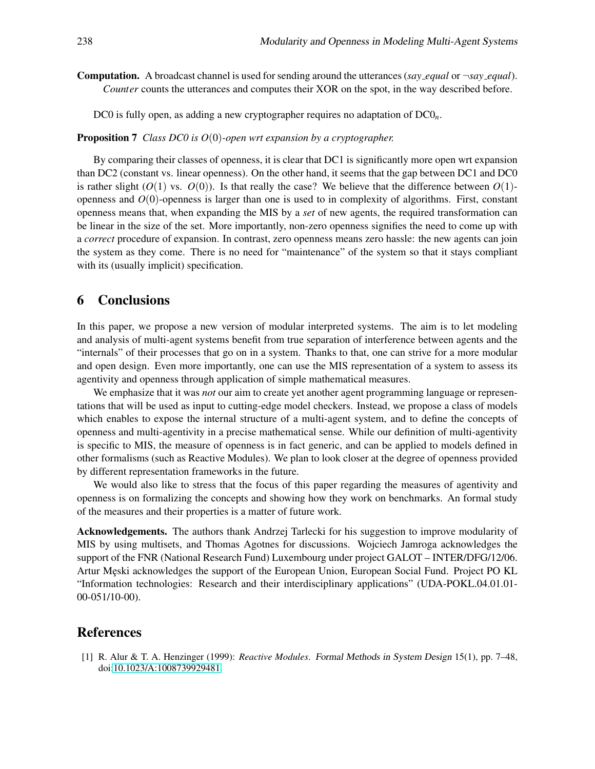**Computation.** A broadcast channel is used for sending around the utterances (*say\_equal* or  $\neg$ *say\_equal*). *Counter* counts the utterances and computes their XOR on the spot, in the way described before.

DC0 is fully open, as adding a new cryptographer requires no adaptation of DC0*n*.

#### Proposition 7 *Class DC0 is O*(0)*-open wrt expansion by a cryptographer.*

By comparing their classes of openness, it is clear that DC1 is significantly more open wrt expansion than DC2 (constant vs. linear openness). On the other hand, it seems that the gap between DC1 and DC0 is rather slight  $(O(1)$  vs.  $O(0)$ ). Is that really the case? We believe that the difference between  $O(1)$ openness and *O*(0)-openness is larger than one is used to in complexity of algorithms. First, constant openness means that, when expanding the MIS by a *set* of new agents, the required transformation can be linear in the size of the set. More importantly, non-zero openness signifies the need to come up with a *correct* procedure of expansion. In contrast, zero openness means zero hassle: the new agents can join the system as they come. There is no need for "maintenance" of the system so that it stays compliant with its (usually implicit) specification.

# <span id="page-14-1"></span>6 Conclusions

In this paper, we propose a new version of modular interpreted systems. The aim is to let modeling and analysis of multi-agent systems benefit from true separation of interference between agents and the "internals" of their processes that go on in a system. Thanks to that, one can strive for a more modular and open design. Even more importantly, one can use the MIS representation of a system to assess its agentivity and openness through application of simple mathematical measures.

We emphasize that it was *not* our aim to create yet another agent programming language or representations that will be used as input to cutting-edge model checkers. Instead, we propose a class of models which enables to expose the internal structure of a multi-agent system, and to define the concepts of openness and multi-agentivity in a precise mathematical sense. While our definition of multi-agentivity is specific to MIS, the measure of openness is in fact generic, and can be applied to models defined in other formalisms (such as Reactive Modules). We plan to look closer at the degree of openness provided by different representation frameworks in the future.

We would also like to stress that the focus of this paper regarding the measures of agentivity and openness is on formalizing the concepts and showing how they work on benchmarks. An formal study of the measures and their properties is a matter of future work.

Acknowledgements. The authors thank Andrzej Tarlecki for his suggestion to improve modularity of MIS by using multisets, and Thomas Agotnes for discussions. Wojciech Jamroga acknowledges the support of the FNR (National Research Fund) Luxembourg under project GALOT – INTER/DFG/12/06. Artur Męski acknowledges the support of the European Union, European Social Fund. Project PO KL "Information technologies: Research and their interdisciplinary applications" (UDA-POKL.04.01.01- 00-051/10-00).

### References

<span id="page-14-0"></span>[1] R. Alur & T. A. Henzinger (1999): *Reactive Modules*. Formal Methods in System Design 15(1), pp. 7–48, doi[:10.1023/A:1008739929481.](http://dx.doi.org/10.1023/A:1008739929481)